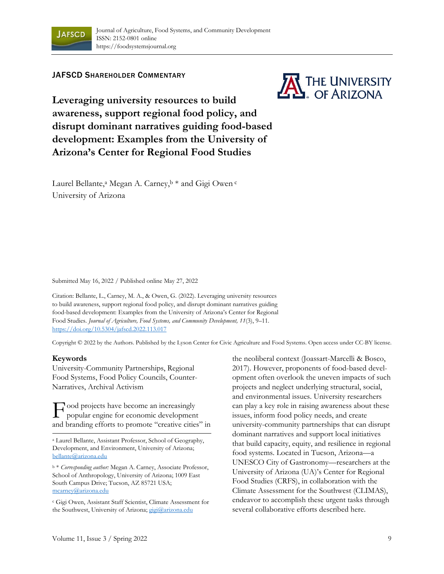

### JAFSCD SHAREHOLDER COMMENTARY



**Leveraging university resources to build awareness, support regional food policy, and disrupt dominant narratives guiding food-based development: Examples from the University of Arizona's Center for Regional Food Studies**

Laurel Bellante,<sup>a</sup> Megan A. Carney, $b *$  and Gigi Owen<sup>c</sup> University of Arizona

Submitted May 16, 2022 / Published online May 27, 2022

Citation: Bellante, L., Carney, M. A., & Owen, G. (2022). Leveraging university resources to build awareness, support regional food policy, and disrupt dominant narratives guiding food-based development: Examples from the University of Arizona's Center for Regional Food Studies. *Journal of Agriculture, Food Systems, and Community Development, 11*(3), 9–11. [https://doi.org/10.5304/jafscd.2022.113.017](https://doi.org/10.5304/jafscd.2022.112.008)

Copyright © 2022 by the Authors. Published by the Lyson Center for Civic Agriculture and Food Systems. Open access under CC-BY license.

#### **Keywords**

University-Community Partnerships, Regional Food Systems, Food Policy Councils, Counter-Narratives, Archival Activism

 $\Gamma$  ood projects have become an increasingly<br>popular engine for economic development popular engine for economic development and branding efforts to promote "creative cities" in

<sup>a</sup> Laurel Bellante, Assistant Professor, School of Geography, Development, and Environment, University of Arizona; [bellante@arizona.edu](mailto:bellante@arizona.edu)

<sup>b</sup> \* *Corresponding author:* Megan A. Carney, Associate Professor, School of Anthropology, University of Arizona; 1009 East South Campus Drive; Tucson, AZ 85721 USA; [mcarney@arizona.edu](mailto:mcarney@arizona.edu)

<sup>c</sup> Gigi Owen, Assistant Staff Scientist, Climate Assessment for the Southwest, University of Arizona; [gigi@arizona.edu](mailto:gigi@arizona.edu)

the neoliberal context (Joassart-Marcelli & Bosco, 2017). However, proponents of food-based development often overlook the uneven impacts of such projects and neglect underlying structural, social, and environmental issues. University researchers can play a key role in raising awareness about these issues, inform food policy needs, and create university-community partnerships that can disrupt dominant narratives and support local initiatives that build capacity, equity, and resilience in regional food systems. Located in Tucson, Arizona—a UNESCO City of Gastronomy—researchers at the University of Arizona (UA)'s Center for Regional Food Studies (CRFS), in collaboration with the Climate Assessment for the Southwest (CLIMAS), endeavor to accomplish these urgent tasks through several collaborative efforts described here.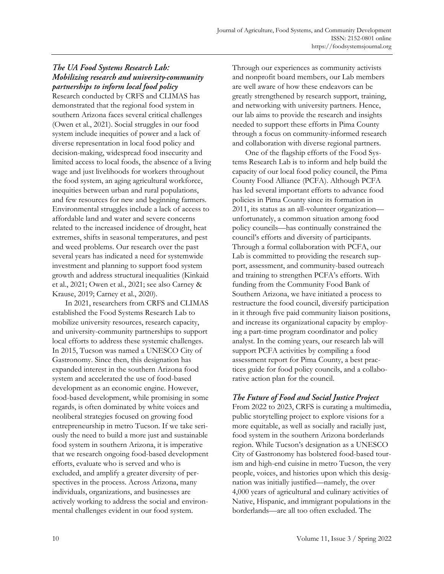## The UA Food Systems Research Lab: Mobilizing research and university-community partnerships to inform local food policy

Research conducted by CRFS and CLIMAS has demonstrated that the regional food system in southern Arizona faces several critical challenges (Owen et al., 2021). Social struggles in our food system include inequities of power and a lack of diverse representation in local food policy and decision-making, widespread food insecurity and limited access to local foods, the absence of a living wage and just livelihoods for workers throughout the food system, an aging agricultural workforce, inequities between urban and rural populations, and few resources for new and beginning farmers. Environmental struggles include a lack of access to affordable land and water and severe concerns related to the increased incidence of drought, heat extremes, shifts in seasonal temperatures, and pest and weed problems. Our research over the past several years has indicated a need for systemwide investment and planning to support food system growth and address structural inequalities (Kinkaid et al., 2021; Owen et al., 2021; see also Carney & Krause, 2019; Carney et al., 2020).

In 2021, researchers from CRFS and CLIMAS established the Food Systems Research Lab to mobilize university resources, research capacity, and university-community partnerships to support local efforts to address these systemic challenges. In 2015, Tucson was named a UNESCO City of Gastronomy. Since then, this designation has expanded interest in the southern Arizona food system and accelerated the use of food-based development as an economic engine. However, food-based development, while promising in some regards, is often dominated by white voices and neoliberal strategies focused on growing food entrepreneurship in metro Tucson. If we take seriously the need to build a more just and sustainable food system in southern Arizona, it is imperative that we research ongoing food-based development efforts, evaluate who is served and who is excluded, and amplify a greater diversity of perspectives in the process. Across Arizona, many individuals, organizations, and businesses are actively working to address the social and environmental challenges evident in our food system.

Through our experiences as community activists and nonprofit board members, our Lab members are well aware of how these endeavors can be greatly strengthened by research support, training, and networking with university partners. Hence, our lab aims to provide the research and insights needed to support these efforts in Pima County through a focus on community-informed research and collaboration with diverse regional partners.

One of the flagship efforts of the Food Systems Research Lab is to inform and help build the capacity of our local food policy council, the Pima County Food Alliance (PCFA). Although PCFA has led several important efforts to advance food policies in Pima County since its formation in 2011, its status as an all-volunteer organization unfortunately, a common situation among food policy councils—has continually constrained the council's efforts and diversity of participants. Through a formal collaboration with PCFA, our Lab is committed to providing the research support, assessment, and community-based outreach and training to strengthen PCFA's efforts. With funding from the Community Food Bank of Southern Arizona, we have initiated a process to restructure the food council, diversify participation in it through five paid community liaison positions, and increase its organizational capacity by employing a part-time program coordinator and policy analyst. In the coming years, our research lab will support PCFA activities by compiling a food assessment report for Pima County, a best practices guide for food policy councils, and a collaborative action plan for the council.

# The Future of Food and Social Justice Project

From 2022 to 2023, CRFS is curating a multimedia, public storytelling project to explore visions for a more equitable, as well as socially and racially just, food system in the southern Arizona borderlands region. While Tucson's designation as a UNESCO City of Gastronomy has bolstered food-based tourism and high-end cuisine in metro Tucson, the very people, voices, and histories upon which this designation was initially justified—namely, the over 4,000 years of agricultural and culinary activities of Native, Hispanic, and immigrant populations in the borderlands—are all too often excluded. The